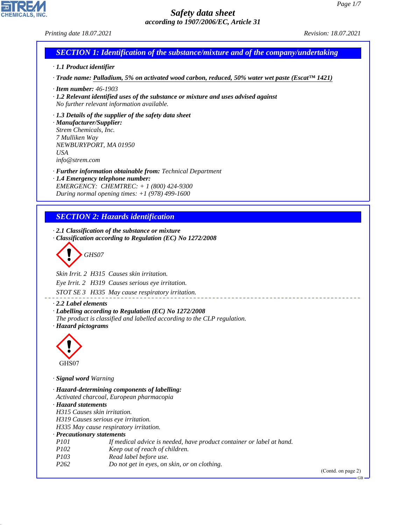#### *Printing date 18.07.2021 Revision: 18.07.2021*

# *SECTION 1: Identification of the substance/mixture and of the company/undertaking*

#### *· 1.1 Product identifier*

*· Trade name: Palladium, 5% on activated wood carbon, reduced, 50% water wet paste (Escat™ 1421)*

- *· Item number: 46-1903*
- *· 1.2 Relevant identified uses of the substance or mixture and uses advised against No further relevant information available.*

#### *· 1.3 Details of the supplier of the safety data sheet*

*· Manufacturer/Supplier: Strem Chemicals, Inc. 7 Mulliken Way NEWBURYPORT, MA 01950 USA info@strem.com*

- *· Further information obtainable from: Technical Department*
- *· 1.4 Emergency telephone number: EMERGENCY: CHEMTREC: + 1 (800) 424-9300 During normal opening times: +1 (978) 499-1600*

# *SECTION 2: Hazards identification*

*· 2.1 Classification of the substance or mixture · Classification according to Regulation (EC) No 1272/2008*

$$
\left\langle \begin{array}{c}\n\end{array}\right\rangle
$$
 GHSO7

*Skin Irrit. 2 H315 Causes skin irritation.*

*Eye Irrit. 2 H319 Causes serious eye irritation.*

*STOT SE 3 H335 May cause respiratory irritation.*

*· 2.2 Label elements*

- *· Labelling according to Regulation (EC) No 1272/2008*
- *The product is classified and labelled according to the CLP regulation.*
- *· Hazard pictograms*



44.1.1

*· Signal word Warning*

*· Hazard-determining components of labelling: Activated charcoal, European pharmacopia · Hazard statements H315 Causes skin irritation. H319 Causes serious eye irritation. H335 May cause respiratory irritation. · Precautionary statements P101 If medical advice is needed, have product container or label at hand. P102 Keep out of reach of children. P103 Read label before use. P262 Do not get in eyes, on skin, or on clothing.*

(Contd. on page 2)

GB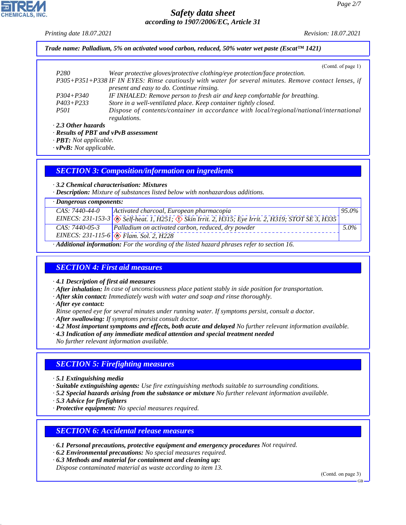*Printing date 18.07.2021 Revision: 18.07.2021*

*Trade name: Palladium, 5% on activated wood carbon, reduced, 50% water wet paste (Escat™ 1421)*

(Contd. of page 1)

| P <sub>280</sub>    | Wear protective gloves/protective clothing/eye protection/face protection.                            |
|---------------------|-------------------------------------------------------------------------------------------------------|
|                     | P305+P351+P338 IF IN EYES: Rinse cautiously with water for several minutes. Remove contact lenses, if |
|                     | present and easy to do. Continue rinsing.                                                             |
| $P304 + P340$       | IF INHALED: Remove person to fresh air and keep comfortable for breathing.                            |
| $P403 + P233$       | Store in a well-ventilated place. Keep container tightly closed.                                      |
| <i>P501</i>         | Dispose of contents/container in accordance with local/regional/national/international                |
|                     | regulations.                                                                                          |
| . 2.3 Other hazards |                                                                                                       |

*· 2.3 Other hazards*

*· Results of PBT and vPvB assessment*

*· PBT: Not applicable.*

*· vPvB: Not applicable.*

### *SECTION 3: Composition/information on ingredients*

*· 3.2 Chemical characterisation: Mixtures*

*· Description: Mixture of substances listed below with nonhazardous additions.*

| $\cdot$ Dangerous components:                                                             |                                                                                                                 |          |  |  |
|-------------------------------------------------------------------------------------------|-----------------------------------------------------------------------------------------------------------------|----------|--|--|
| CAS: 7440-44-0                                                                            | Activated charcoal, European pharmacopia                                                                        | $95.0\%$ |  |  |
|                                                                                           | EINECS: 231-153-3 & Self-heat. 1, H251; $\circledcirc$ Skin Irrit. 2, H315; Eye Irrit. 2, H319; STOT SE 3, H335 |          |  |  |
| $CAS: 7440-05-3$                                                                          | Palladium on activated carbon, reduced, dry powder                                                              | $5.0\%$  |  |  |
|                                                                                           | EINECS: 231-115-6 $\circledcirc$ Flam. Sol. 2, H228                                                             |          |  |  |
| A 1122 and information. For the wording of the light department person upon to gooding 16 |                                                                                                                 |          |  |  |

*· Additional information: For the wording of the listed hazard phrases refer to section 16.*

## *SECTION 4: First aid measures*

*· 4.1 Description of first aid measures*

*· After inhalation: In case of unconsciousness place patient stably in side position for transportation.*

- *· After skin contact: Immediately wash with water and soap and rinse thoroughly.*
- *· After eye contact:*
- *Rinse opened eye for several minutes under running water. If symptoms persist, consult a doctor.*
- *· After swallowing: If symptoms persist consult doctor.*
- *· 4.2 Most important symptoms and effects, both acute and delayed No further relevant information available.*
- *· 4.3 Indication of any immediate medical attention and special treatment needed*

*No further relevant information available.*

# *SECTION 5: Firefighting measures*

*· 5.1 Extinguishing media*

*· Suitable extinguishing agents: Use fire extinguishing methods suitable to surrounding conditions.*

*· 5.2 Special hazards arising from the substance or mixture No further relevant information available.*

*· 5.3 Advice for firefighters*

44.1.1

*· Protective equipment: No special measures required.*

## *SECTION 6: Accidental release measures*

*· 6.1 Personal precautions, protective equipment and emergency procedures Not required.*

- *· 6.2 Environmental precautions: No special measures required.*
- *· 6.3 Methods and material for containment and cleaning up:*

*Dispose contaminated material as waste according to item 13.*

(Contd. on page 3)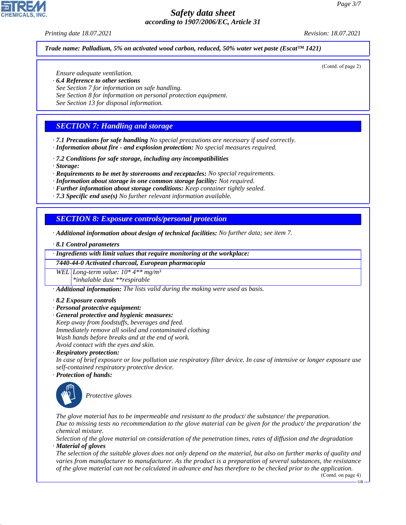#### *Printing date 18.07.2021 Revision: 18.07.2021*

(Contd. of page 2)

#### *Trade name: Palladium, 5% on activated wood carbon, reduced, 50% water wet paste (Escat™ 1421)*

*Ensure adequate ventilation.*

- *· 6.4 Reference to other sections*
- *See Section 7 for information on safe handling.*
- *See Section 8 for information on personal protection equipment.*
- *See Section 13 for disposal information.*

## *SECTION 7: Handling and storage*

*· 7.1 Precautions for safe handling No special precautions are necessary if used correctly. · Information about fire - and explosion protection: No special measures required.*

- *· 7.2 Conditions for safe storage, including any incompatibilities*
- *· Storage:*

*· Requirements to be met by storerooms and receptacles: No special requirements.*

- *· Information about storage in one common storage facility: Not required.*
- *· Further information about storage conditions: Keep container tightly sealed.*
- *· 7.3 Specific end use(s) No further relevant information available.*

#### *SECTION 8: Exposure controls/personal protection*

- *· Additional information about design of technical facilities: No further data; see item 7.*
- *· 8.1 Control parameters*

*· Ingredients with limit values that require monitoring at the workplace:*

*7440-44-0 Activated charcoal, European pharmacopia*

*WEL Long-term value: 10\* 4\*\* mg/m³ \*inhalable dust \*\*respirable*

*· Additional information: The lists valid during the making were used as basis.*

- *· 8.2 Exposure controls*
- *· Personal protective equipment:*
- *· General protective and hygienic measures:*

*Keep away from foodstuffs, beverages and feed. Immediately remove all soiled and contaminated clothing Wash hands before breaks and at the end of work. Avoid contact with the eyes and skin.*

*· Respiratory protection:*

*In case of brief exposure or low pollution use respiratory filter device. In case of intensive or longer exposure use self-contained respiratory protective device.*

*· Protection of hands:*



44.1.1

\_S*Protective gloves*

*The glove material has to be impermeable and resistant to the product/ the substance/ the preparation. Due to missing tests no recommendation to the glove material can be given for the product/ the preparation/ the chemical mixture.*

*Selection of the glove material on consideration of the penetration times, rates of diffusion and the degradation · Material of gloves*

*The selection of the suitable gloves does not only depend on the material, but also on further marks of quality and varies from manufacturer to manufacturer. As the product is a preparation of several substances, the resistance of the glove material can not be calculated in advance and has therefore to be checked prior to the application.*

(Contd. on page 4)

GB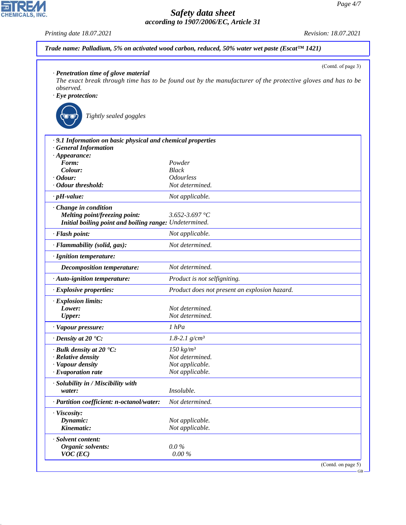*Printing date 18.07.2021 Revision: 18.07.2021*

**EDIREAL** 

44.1.1

| Trade name: Palladium, 5% on activated wood carbon, reduced, 50% water wet paste (Escat $\text{\tiny{TM\ 1421}}$ ) |  |
|--------------------------------------------------------------------------------------------------------------------|--|
|--------------------------------------------------------------------------------------------------------------------|--|

|                                                             | (Contd. of page 3)                                                                                          |
|-------------------------------------------------------------|-------------------------------------------------------------------------------------------------------------|
| · Penetration time of glove material                        | The exact break through time has to be found out by the manufacturer of the protective gloves and has to be |
| observed.                                                   |                                                                                                             |
| $\cdot$ Eye protection:                                     |                                                                                                             |
|                                                             |                                                                                                             |
| Tightly sealed goggles                                      |                                                                                                             |
|                                                             |                                                                                                             |
|                                                             |                                                                                                             |
| · 9.1 Information on basic physical and chemical properties |                                                                                                             |
| · General Information                                       |                                                                                                             |
| $\cdot$ Appearance:                                         |                                                                                                             |
| Form:<br>Colour:                                            | Powder<br><b>Black</b>                                                                                      |
| $\cdot$ Odour:                                              | <i><b>Odourless</b></i>                                                                                     |
| · Odour threshold:                                          | Not determined.                                                                                             |
| $\cdot$ pH-value:                                           | Not applicable.                                                                                             |
|                                                             |                                                                                                             |
| · Change in condition<br>Melting point/freezing point:      | 3.652-3.697 °C                                                                                              |
| Initial boiling point and boiling range: Undetermined.      |                                                                                                             |
|                                                             |                                                                                                             |
| · Flash point:                                              | Not applicable.                                                                                             |
| · Flammability (solid, gas):                                | Not determined.                                                                                             |
| · Ignition temperature:                                     |                                                                                                             |
| <b>Decomposition temperature:</b>                           | Not determined.                                                                                             |
| $\cdot$ Auto-ignition temperature:                          | Product is not selfigniting.                                                                                |
| $\cdot$ Explosive properties:                               | Product does not present an explosion hazard.                                                               |
| · Explosion limits:                                         |                                                                                                             |
| Lower:                                                      | Not determined.                                                                                             |
| <b>Upper:</b>                                               | Not determined.                                                                                             |
| · Vapour pressure:                                          | 1 hPa                                                                                                       |
| $\cdot$ Density at 20 $\textdegree$ C:                      | 1.8-2.1 $g/cm^3$                                                                                            |
| $\cdot$ Bulk density at 20 $\textdegree$ C:                 | $150 \ kg/m3$                                                                                               |
| $\cdot$ Relative density                                    | Not determined.                                                                                             |
| · Vapour density                                            | Not applicable.                                                                                             |
| · Evaporation rate                                          | Not applicable.                                                                                             |
| · Solubility in / Miscibility with                          |                                                                                                             |
| water:                                                      | Insoluble.                                                                                                  |
| · Partition coefficient: n-octanol/water:                   | Not determined.                                                                                             |
| · Viscosity:                                                |                                                                                                             |
| Dynamic:                                                    | Not applicable.                                                                                             |
| Kinematic:                                                  | Not applicable.                                                                                             |
| · Solvent content:                                          |                                                                                                             |
| <b>Organic solvents:</b>                                    | $0.0\%$                                                                                                     |
| $VOC$ (EC)                                                  | $0.00\%$                                                                                                    |

GB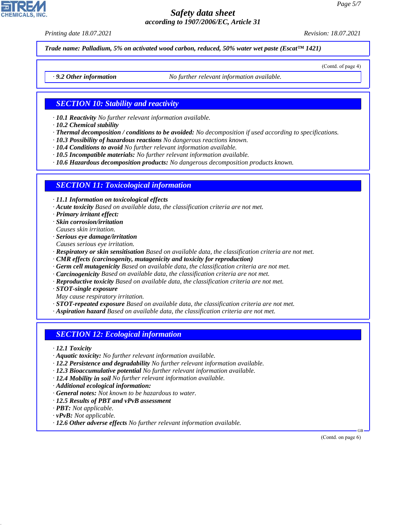*Printing date 18.07.2021 Revision: 18.07.2021*

(Contd. of page 4)

*Trade name: Palladium, 5% on activated wood carbon, reduced, 50% water wet paste (Escat™ 1421)*

*· 9.2 Other information No further relevant information available.*

#### *SECTION 10: Stability and reactivity*

- *· 10.1 Reactivity No further relevant information available.*
- *· 10.2 Chemical stability*
- *· Thermal decomposition / conditions to be avoided: No decomposition if used according to specifications.*
- *· 10.3 Possibility of hazardous reactions No dangerous reactions known.*
- *· 10.4 Conditions to avoid No further relevant information available.*
- *· 10.5 Incompatible materials: No further relevant information available.*
- *· 10.6 Hazardous decomposition products: No dangerous decomposition products known.*

#### *SECTION 11: Toxicological information*

*· 11.1 Information on toxicological effects*

- *· Acute toxicity Based on available data, the classification criteria are not met.*
- *· Primary irritant effect:*
- *· Skin corrosion/irritation*
- *Causes skin irritation.*
- *· Serious eye damage/irritation Causes serious eye irritation.*
- *· Respiratory or skin sensitisation Based on available data, the classification criteria are not met.*
- *· CMR effects (carcinogenity, mutagenicity and toxicity for reproduction)*
- *· Germ cell mutagenicity Based on available data, the classification criteria are not met.*
- *· Carcinogenicity Based on available data, the classification criteria are not met.*
- *· Reproductive toxicity Based on available data, the classification criteria are not met.*
- *· STOT-single exposure*
- *May cause respiratory irritation.*
- *· STOT-repeated exposure Based on available data, the classification criteria are not met.*
- *· Aspiration hazard Based on available data, the classification criteria are not met.*

#### *SECTION 12: Ecological information*

- *· 12.1 Toxicity*
- *· Aquatic toxicity: No further relevant information available.*
- *· 12.2 Persistence and degradability No further relevant information available.*
- *· 12.3 Bioaccumulative potential No further relevant information available.*
- *· 12.4 Mobility in soil No further relevant information available.*
- *· Additional ecological information:*
- *· General notes: Not known to be hazardous to water.*
- *· 12.5 Results of PBT and vPvB assessment*
- *· PBT: Not applicable.*
- *· vPvB: Not applicable.*

44.1.1

*· 12.6 Other adverse effects No further relevant information available.*

(Contd. on page 6)

GB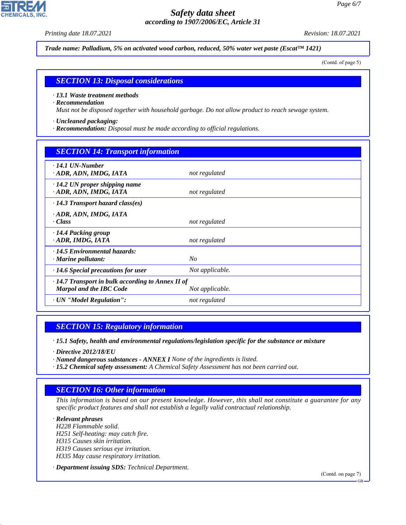*Printing date 18.07.2021 Revision: 18.07.2021*

**CHEMICALS, INC** 

*Trade name: Palladium, 5% on activated wood carbon, reduced, 50% water wet paste (Escat™ 1421)*

(Contd. of page 5)

#### *SECTION 13: Disposal considerations*

#### *· 13.1 Waste treatment methods*

#### *· Recommendation*

*Must not be disposed together with household garbage. Do not allow product to reach sewage system.*

- *· Uncleaned packaging:*
- *· Recommendation: Disposal must be made according to official regulations.*

| <b>SECTION 14: Transport information</b>                                                  |                 |  |  |  |
|-------------------------------------------------------------------------------------------|-----------------|--|--|--|
| $\cdot$ 14.1 UN-Number<br>ADR, ADN, IMDG, IATA                                            | not regulated   |  |  |  |
| $\cdot$ 14.2 UN proper shipping name<br>· ADR, ADN, IMDG, IATA                            | not regulated   |  |  |  |
| $\cdot$ 14.3 Transport hazard class(es)                                                   |                 |  |  |  |
| · ADR, ADN, IMDG, IATA<br>· Class                                                         | not regulated   |  |  |  |
| · 14.4 Packing group<br>· ADR, IMDG, IATA                                                 | not regulated   |  |  |  |
| $\cdot$ 14.5 Environmental hazards:<br>$\cdot$ Marine pollutant:                          | N <sub>O</sub>  |  |  |  |
| $\cdot$ 14.6 Special precautions for user                                                 | Not applicable. |  |  |  |
| $\cdot$ 14.7 Transport in bulk according to Annex II of<br><b>Marpol and the IBC Code</b> | Not applicable. |  |  |  |
| · UN "Model Regulation":                                                                  | not regulated   |  |  |  |

#### *SECTION 15: Regulatory information*

*· 15.1 Safety, health and environmental regulations/legislation specific for the substance or mixture*

*· Directive 2012/18/EU*

44.1.1

- *· Named dangerous substances ANNEX I None of the ingredients is listed.*
- *· 15.2 Chemical safety assessment: A Chemical Safety Assessment has not been carried out.*

## *SECTION 16: Other information*

*This information is based on our present knowledge. However, this shall not constitute a guarantee for any specific product features and shall not establish a legally valid contractual relationship.*

*· Relevant phrases H228 Flammable solid. H251 Self-heating: may catch fire. H315 Causes skin irritation. H319 Causes serious eye irritation. H335 May cause respiratory irritation.*

*· Department issuing SDS: Technical Department.*

(Contd. on page 7)

GB